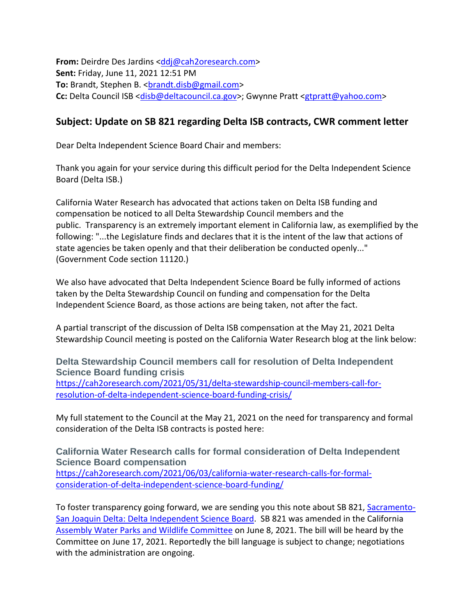**From:** Deirdre Des Jardins [<ddj@cah2oresearch.com>](mailto:ddj@cah2oresearch.com) **Sent:** Friday, June 11, 2021 12:51 PM **To:** Brandt, Stephen B. < brandt.disb@gmail.com> **Cc:** Delta Council ISB [<disb@deltacouncil.ca.gov>](mailto:disb@deltacouncil.ca.gov); Gwynne Pratt [<gtpratt@yahoo.com>](mailto:gtpratt@yahoo.com)

## **Subject: Update on SB 821 regarding Delta ISB contracts, CWR comment letter**

Dear Delta Independent Science Board Chair and members:

Thank you again for your service during this difficult period for the Delta Independent Science Board (Delta ISB.)

California Water Research has advocated that actions taken on Delta ISB funding and compensation be noticed to all Delta Stewardship Council members and the public. Transparency is an extremely important element in California law, as exemplified by the following: "...the Legislature finds and declares that it is the intent of the law that actions of state agencies be taken openly and that their deliberation be conducted openly..." (Government Code section 11120.)

We also have advocated that Delta Independent Science Board be fully informed of actions taken by the Delta Stewardship Council on funding and compensation for the Delta Independent Science Board, as those actions are being taken, not after the fact.

A partial transcript of the discussion of Delta ISB compensation at the May 21, 2021 Delta Stewardship Council meeting is posted on the California Water Research blog at the link below:

**Delta Stewardship Council members call for resolution of Delta Independent Science Board funding crisis** [https://cah2oresearch.com/2021/05/31/delta-stewardship-council-members-call-for](https://cah2oresearch.com/2021/05/31/delta-stewardship-council-members-call-for-resolution-of-delta-independent-science-board-funding-crisis/)[resolution-of-delta-independent-science-board-funding-crisis/](https://cah2oresearch.com/2021/05/31/delta-stewardship-council-members-call-for-resolution-of-delta-independent-science-board-funding-crisis/)

My full statement to the Council at the May 21, 2021 on the need for transparency and formal consideration of the Delta ISB contracts is posted here:

**California Water Research calls for formal consideration of Delta Independent Science Board compensation** [https://cah2oresearch.com/2021/06/03/california-water-research-calls-for-formal](https://cah2oresearch.com/2021/06/03/california-water-research-calls-for-formal-consideration-of-delta-independent-science-board-funding/)[consideration-of-delta-independent-science-board-funding/](https://cah2oresearch.com/2021/06/03/california-water-research-calls-for-formal-consideration-of-delta-independent-science-board-funding/)

To foster transparency going forward, we are sending you this note about SB 821, [Sacramento-](https://leginfo.legislature.ca.gov/faces/billTextClient.xhtml?bill_id=202120220SB821)[San Joaquin Delta: Delta Independent Science Board.](https://leginfo.legislature.ca.gov/faces/billTextClient.xhtml?bill_id=202120220SB821) SB 821 was amended in the California [Assembly Water Parks and Wildlife Committee](https://awpw.assembly.ca.gov/) on June 8, 2021. The bill will be heard by the Committee on June 17, 2021. Reportedly the bill language is subject to change; negotiations with the administration are ongoing.